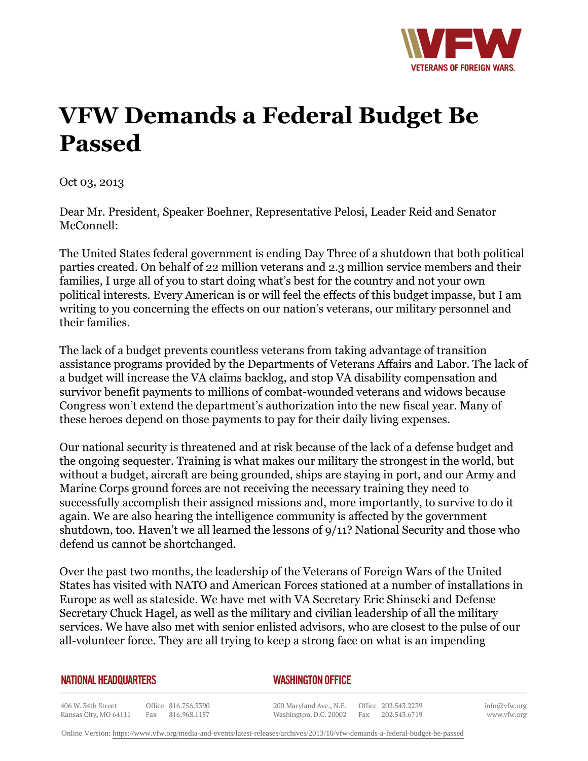

## **VFW Demands a Federal Budget Be Passed**

Oct 03, 2013

Dear Mr. President, Speaker Boehner, Representative Pelosi, Leader Reid and Senator McConnell:

The United States federal government is ending Day Three of a shutdown that both political parties created. On behalf of 22 million veterans and 2.3 million service members and their families, I urge all of you to start doing what's best for the country and not your own political interests. Every American is or will feel the effects of this budget impasse, but I am writing to you concerning the effects on our nation's veterans, our military personnel and their families.

The lack of a budget prevents countless veterans from taking advantage of transition assistance programs provided by the Departments of Veterans Affairs and Labor. The lack of a budget will increase the VA claims backlog, and stop VA disability compensation and survivor benefit payments to millions of combat-wounded veterans and widows because Congress won't extend the department's authorization into the new fiscal year. Many of these heroes depend on those payments to pay for their daily living expenses.

Our national security is threatened and at risk because of the lack of a defense budget and the ongoing sequester. Training is what makes our military the strongest in the world, but without a budget, aircraft are being grounded, ships are staying in port, and our Army and Marine Corps ground forces are not receiving the necessary training they need to successfully accomplish their assigned missions and, more importantly, to survive to do it again. We are also hearing the intelligence community is affected by the government shutdown, too. Haven't we all learned the lessons of 9/11? National Security and those who defend us cannot be shortchanged.

Over the past two months, the leadership of the Veterans of Foreign Wars of the United States has visited with NATO and American Forces stationed at a number of installations in Europe as well as stateside. We have met with VA Secretary Eric Shinseki and Defense Secretary Chuck Hagel, as well as the military and civilian leadership of all the military services. We have also met with senior enlisted advisors, who are closest to the pulse of our all-volunteer force. They are all trying to keep a strong face on what is an impending

## **NATIONAL HEADQUARTERS**

## *WASHINGTON OFFICE*

406 W. 34th Street Office 816.756.3390 Fax 816.968.1157 Kansas City, MO 64111

200 Maryland Ave., N.E. Washington, D.C. 20002 Fax 202.543.6719

Office 202.543.2239

info@vfw.org www.vfw.org

Online Version:<https://www.vfw.org/media-and-events/latest-releases/archives/2013/10/vfw-demands-a-federal-budget-be-passed>